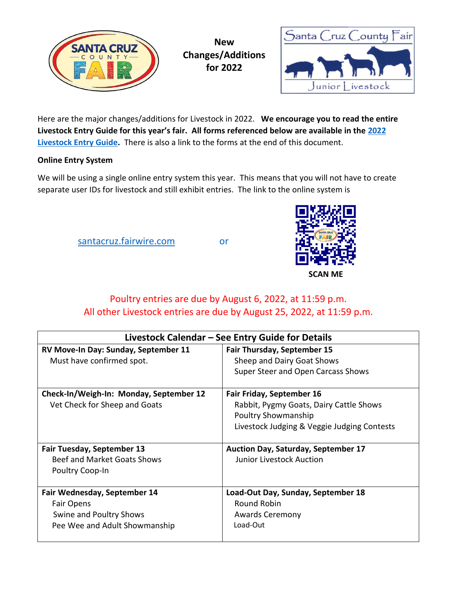



Here are the major changes/additions for Livestock in 2022. **We encourage you to read the entire Livestock Entry Guide for this year's fair. All forms referenced below are available in the [2022](https://santacruzcountyfair.com/fair-time/attend/2022-entry-guides)  [Livestock Entry Guide.](https://santacruzcountyfair.com/fair-time/attend/2022-entry-guides)** There is also a link to the forms at the end of this document.

### **Online Entry System**

We will be using a single online entry system this year.This means that you will not have to create separate user IDs for livestock and still exhibit entries. The link to the online system is

[santacruz.fairwire.com](https://santacruz.fairwire.com/) or



# Poultry entries are due by August 6, 2022, at 11:59 p.m. All other Livestock entries are due by August 25, 2022, at 11:59 p.m.

| Livestock Calendar - See Entry Guide for Details                                                       |                                                                                                        |
|--------------------------------------------------------------------------------------------------------|--------------------------------------------------------------------------------------------------------|
| RV Move-In Day: Sunday, September 11<br>Must have confirmed spot.                                      | <b>Fair Thursday, September 15</b><br>Sheep and Dairy Goat Shows<br>Super Steer and Open Carcass Shows |
| Check-In/Weigh-In: Monday, September 12<br>Vet Check for Sheep and Goats                               | <b>Fair Friday, September 16</b><br>Rabbit, Pygmy Goats, Dairy Cattle Shows<br>Poultry Showmanship     |
| <b>Fair Tuesday, September 13</b>                                                                      | Livestock Judging & Veggie Judging Contests<br><b>Auction Day, Saturday, September 17</b>              |
| Beef and Market Goats Shows<br>Poultry Coop-In                                                         | Junior Livestock Auction                                                                               |
| Fair Wednesday, September 14<br>Fair Opens<br>Swine and Poultry Shows<br>Pee Wee and Adult Showmanship | Load-Out Day, Sunday, September 18<br><b>Round Robin</b><br><b>Awards Ceremony</b><br>Load-Out         |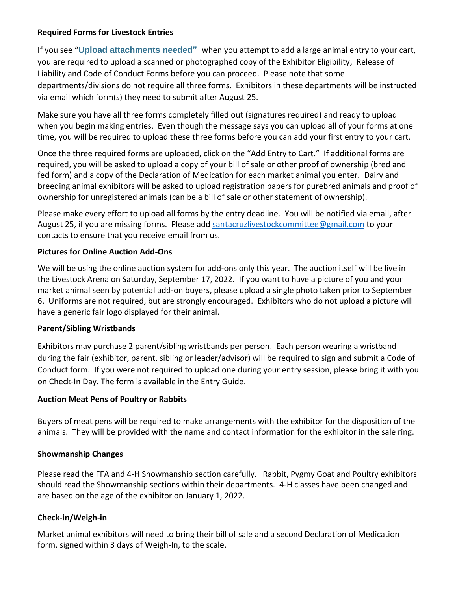#### **Required Forms for Livestock Entries**

If you see "**Upload attachments needed"** when you attempt to add a large animal entry to your cart, you are required to upload a scanned or photographed copy of the Exhibitor Eligibility, Release of Liability and Code of Conduct Forms before you can proceed. Please note that some departments/divisions do not require all three forms. Exhibitors in these departments will be instructed via email which form(s) they need to submit after August 25.

Make sure you have all three forms completely filled out (signatures required) and ready to upload when you begin making entries. Even though the message says you can upload all of your forms at one time, you will be required to upload these three forms before you can add your first entry to your cart.

Once the three required forms are uploaded, click on the "Add Entry to Cart." If additional forms are required, you will be asked to upload a copy of your bill of sale or other proof of ownership (bred and fed form) and a copy of the Declaration of Medication for each market animal you enter. Dairy and breeding animal exhibitors will be asked to upload registration papers for purebred animals and proof of ownership for unregistered animals (can be a bill of sale or other statement of ownership).

Please make every effort to upload all forms by the entry deadline. You will be notified via email, after August 25, if you are missing forms. Please add [santacruzlivestockcommittee@gmail.com](mailto:santacruzlivestockcommittee@gmail.com) to your contacts to ensure that you receive email from us.

# **Pictures for Online Auction Add-Ons**

We will be using the online auction system for add-ons only this year. The auction itself will be live in the Livestock Arena on Saturday, September 17, 2022. If you want to have a picture of you and your market animal seen by potential add-on buyers, please upload a single photo taken prior to September 6. Uniforms are not required, but are strongly encouraged. Exhibitors who do not upload a picture will have a generic fair logo displayed for their animal.

# **Parent/Sibling Wristbands**

Exhibitors may purchase 2 parent/sibling wristbands per person. Each person wearing a wristband during the fair (exhibitor, parent, sibling or leader/advisor) will be required to sign and submit a Code of Conduct form. If you were not required to upload one during your entry session, please bring it with you on Check-In Day. The form is available in the Entry Guide.

# **Auction Meat Pens of Poultry or Rabbits**

Buyers of meat pens will be required to make arrangements with the exhibitor for the disposition of the animals. They will be provided with the name and contact information for the exhibitor in the sale ring.

# **Showmanship Changes**

Please read the FFA and 4-H Showmanship section carefully. Rabbit, Pygmy Goat and Poultry exhibitors should read the Showmanship sections within their departments. 4-H classes have been changed and are based on the age of the exhibitor on January 1, 2022.

# **Check-in/Weigh-in**

Market animal exhibitors will need to bring their bill of sale and a second Declaration of Medication form, signed within 3 days of Weigh-In, to the scale.